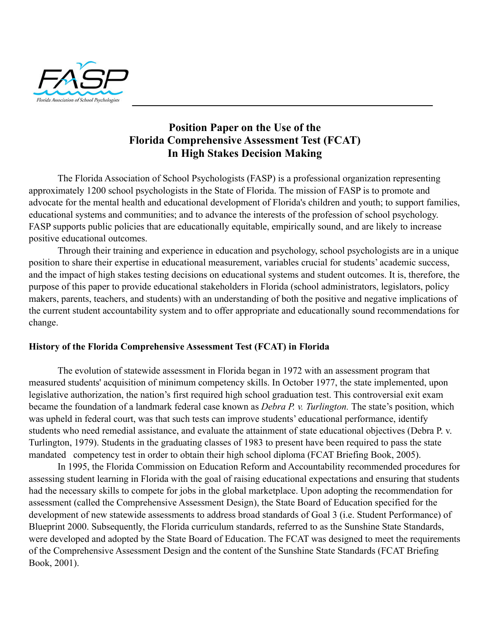

# **Position Paper on the Use of the Florida Comprehensive Assessment Test (FCAT) In High Stakes Decision Making**

The Florida Association of School Psychologists (FASP) is a professional organization representing approximately 1200 school psychologists in the State of Florida. The mission of FASP is to promote and advocate for the mental health and educational development of Florida's children and youth; to support families, educational systems and communities; and to advance the interests of the profession of school psychology. FASP supports public policies that are educationally equitable, empirically sound, and are likely to increase positive educational outcomes.

Through their training and experience in education and psychology, school psychologists are in a unique position to share their expertise in educational measurement, variables crucial for students' academic success, and the impact of high stakes testing decisions on educational systems and student outcomes. It is, therefore, the purpose of this paper to provide educational stakeholders in Florida (school administrators, legislators, policy makers, parents, teachers, and students) with an understanding of both the positive and negative implications of the current student accountability system and to offer appropriate and educationally sound recommendations for change.

#### **History of the Florida Comprehensive Assessment Test (FCAT) in Florida**

The evolution of statewide assessment in Florida began in 1972 with an assessment program that measured students' acquisition of minimum competency skills. In October 1977, the state implemented, upon legislative authorization, the nation's first required high school graduation test. This controversial exit exam became the foundation of a landmark federal case known as *Debra P. v. Turlington.* The state's position, which was upheld in federal court, was that such tests can improve students' educational performance, identify students who need remedial assistance, and evaluate the attainment of state educational objectives (Debra P. v. Turlington, 1979). Students in the graduating classes of 1983 to present have been required to pass the state mandated competency test in order to obtain their high school diploma (FCAT Briefing Book, 2005).

In 1995, the Florida Commission on Education Reform and Accountability recommended procedures for assessing student learning in Florida with the goal of raising educational expectations and ensuring that students had the necessary skills to compete for jobs in the global marketplace. Upon adopting the recommendation for assessment (called the Comprehensive Assessment Design), the State Board of Education specified for the development of new statewide assessments to address broad standards of Goal 3 (i.e. Student Performance) of Blueprint 2000. Subsequently, the Florida curriculum standards, referred to as the Sunshine State Standards, were developed and adopted by the State Board of Education. The FCAT was designed to meet the requirements of the Comprehensive Assessment Design and the content of the Sunshine State Standards (FCAT Briefing Book, 2001).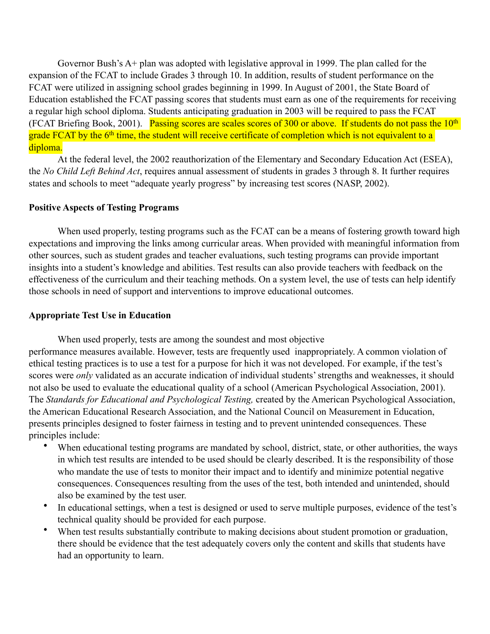Governor Bush's A+ plan was adopted with legislative approval in 1999. The plan called for the expansion of the FCAT to include Grades 3 through 10. In addition, results of student performance on the FCAT were utilized in assigning school grades beginning in 1999. In August of 2001, the State Board of Education established the FCAT passing scores that students must earn as one of the requirements for receiving a regular high school diploma. Students anticipating graduation in 2003 will be required to pass the FCAT (FCAT Briefing Book, 2001). Passing scores are scales scores of 300 or above. If students do not pass the 10<sup>th</sup> grade FCAT by the 6<sup>th</sup> time, the student will receive certificate of completion which is not equivalent to a diploma.

At the federal level, the 2002 reauthorization of the Elementary and Secondary Education Act (ESEA), the *No Child Left Behind Act*, requires annual assessment of students in grades 3 through 8. It further requires states and schools to meet "adequate yearly progress" by increasing test scores (NASP, 2002).

#### **Positive Aspects of Testing Programs**

When used properly, testing programs such as the FCAT can be a means of fostering growth toward high expectations and improving the links among curricular areas. When provided with meaningful information from other sources, such as student grades and teacher evaluations, such testing programs can provide important insights into a student's knowledge and abilities. Test results can also provide teachers with feedback on the effectiveness of the curriculum and their teaching methods. On a system level, the use of tests can help identify those schools in need of support and interventions to improve educational outcomes.

#### **Appropriate Test Use in Education**

When used properly, tests are among the soundest and most objective performance measures available. However, tests are frequently used inappropriately. A common violation of

ethical testing practices is to use a test for a purpose for hich it was not developed. For example, if the test's scores were *only* validated as an accurate indication of individual students' strengths and weaknesses, it should not also be used to evaluate the educational quality of a school (American Psychological Association, 2001). The *Standards for Educational and Psychological Testing,* created by the American Psychological Association, the American Educational Research Association, and the National Council on Measurement in Education, presents principles designed to foster fairness in testing and to prevent unintended consequences. These principles include:

- When educational testing programs are mandated by school, district, state, or other authorities, the ways in which test results are intended to be used should be clearly described. It is the responsibility of those who mandate the use of tests to monitor their impact and to identify and minimize potential negative consequences. Consequences resulting from the uses of the test, both intended and unintended, should also be examined by the test user.
- In educational settings, when a test is designed or used to serve multiple purposes, evidence of the test's technical quality should be provided for each purpose.
- When test results substantially contribute to making decisions about student promotion or graduation, there should be evidence that the test adequately covers only the content and skills that students have had an opportunity to learn.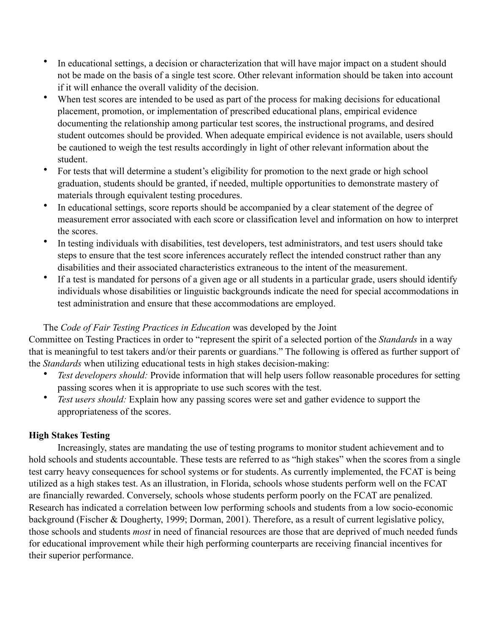- In educational settings, a decision or characterization that will have major impact on a student should not be made on the basis of a single test score. Other relevant information should be taken into account if it will enhance the overall validity of the decision.
- When test scores are intended to be used as part of the process for making decisions for educational placement, promotion, or implementation of prescribed educational plans, empirical evidence documenting the relationship among particular test scores, the instructional programs, and desired student outcomes should be provided. When adequate empirical evidence is not available, users should be cautioned to weigh the test results accordingly in light of other relevant information about the student.
- For tests that will determine a student's eligibility for promotion to the next grade or high school graduation, students should be granted, if needed, multiple opportunities to demonstrate mastery of materials through equivalent testing procedures.
- In educational settings, score reports should be accompanied by a clear statement of the degree of measurement error associated with each score or classification level and information on how to interpret the scores.
- In testing individuals with disabilities, test developers, test administrators, and test users should take steps to ensure that the test score inferences accurately reflect the intended construct rather than any disabilities and their associated characteristics extraneous to the intent of the measurement.
- If a test is mandated for persons of a given age or all students in a particular grade, users should identify individuals whose disabilities or linguistic backgrounds indicate the need for special accommodations in test administration and ensure that these accommodations are employed.

# The *Code of Fair Testing Practices in Education* was developed by the Joint

Committee on Testing Practices in order to "represent the spirit of a selected portion of the *Standards* in a way that is meaningful to test takers and/or their parents or guardians." The following is offered as further support of the *Standards* when utilizing educational tests in high stakes decision-making:

- *Test developers should:* Provide information that will help users follow reasonable procedures for setting passing scores when it is appropriate to use such scores with the test.
- *Test users should:* Explain how any passing scores were set and gather evidence to support the appropriateness of the scores.

## **High Stakes Testing**

Increasingly, states are mandating the use of testing programs to monitor student achievement and to hold schools and students accountable. These tests are referred to as "high stakes" when the scores from a single test carry heavy consequences for school systems or for students. As currently implemented, the FCAT is being utilized as a high stakes test. As an illustration, in Florida, schools whose students perform well on the FCAT are financially rewarded. Conversely, schools whose students perform poorly on the FCAT are penalized. Research has indicated a correlation between low performing schools and students from a low socio-economic background (Fischer & Dougherty, 1999; Dorman, 2001). Therefore, as a result of current legislative policy, those schools and students *most* in need of financial resources are those that are deprived of much needed funds for educational improvement while their high performing counterparts are receiving financial incentives for their superior performance.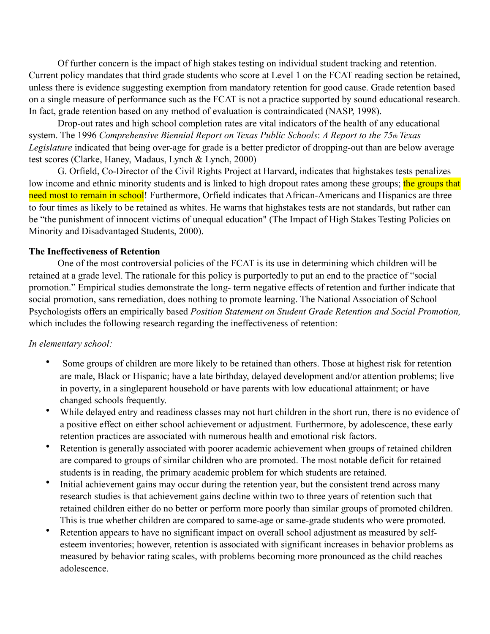Of further concern is the impact of high stakes testing on individual student tracking and retention. Current policy mandates that third grade students who score at Level 1 on the FCAT reading section be retained, unless there is evidence suggesting exemption from mandatory retention for good cause. Grade retention based on a single measure of performance such as the FCAT is not a practice supported by sound educational research. In fact, grade retention based on any method of evaluation is contraindicated (NASP, 1998).

Drop-out rates and high school completion rates are vital indicators of the health of any educational system. The 1996 *Comprehensive Biennial Report on Texas Public Schools*: *A Report to the 75th Texas Legislature* indicated that being over-age for grade is a better predictor of dropping-out than are below average test scores (Clarke, Haney, Madaus, Lynch & Lynch, 2000)

G. Orfield, Co-Director of the Civil Rights Project at Harvard, indicates that highstakes tests penalizes low income and ethnic minority students and is linked to high dropout rates among these groups; the groups that need most to remain in school! Furthermore, Orfield indicates that African-Americans and Hispanics are three to four times as likely to be retained as whites. He warns that highstakes tests are not standards, but rather can be "the punishment of innocent victims of unequal education" (The Impact of High Stakes Testing Policies on Minority and Disadvantaged Students, 2000).

#### **The Ineffectiveness of Retention**

One of the most controversial policies of the FCAT is its use in determining which children will be retained at a grade level. The rationale for this policy is purportedly to put an end to the practice of "social promotion." Empirical studies demonstrate the long- term negative effects of retention and further indicate that social promotion, sans remediation, does nothing to promote learning. The National Association of School Psychologists offers an empirically based *Position Statement on Student Grade Retention and Social Promotion,* which includes the following research regarding the ineffectiveness of retention:

### *In elementary school:*

- Some groups of children are more likely to be retained than others. Those at highest risk for retention are male, Black or Hispanic; have a late birthday, delayed development and/or attention problems; live in poverty, in a singleparent household or have parents with low educational attainment; or have changed schools frequently.
- While delayed entry and readiness classes may not hurt children in the short run, there is no evidence of a positive effect on either school achievement or adjustment. Furthermore, by adolescence, these early retention practices are associated with numerous health and emotional risk factors.
- Retention is generally associated with poorer academic achievement when groups of retained children are compared to groups of similar children who are promoted. The most notable deficit for retained students is in reading, the primary academic problem for which students are retained.
- Initial achievement gains may occur during the retention year, but the consistent trend across many research studies is that achievement gains decline within two to three years of retention such that retained children either do no better or perform more poorly than similar groups of promoted children. This is true whether children are compared to same-age or same-grade students who were promoted.
- Retention appears to have no significant impact on overall school adjustment as measured by selfesteem inventories; however, retention is associated with significant increases in behavior problems as measured by behavior rating scales, with problems becoming more pronounced as the child reaches adolescence.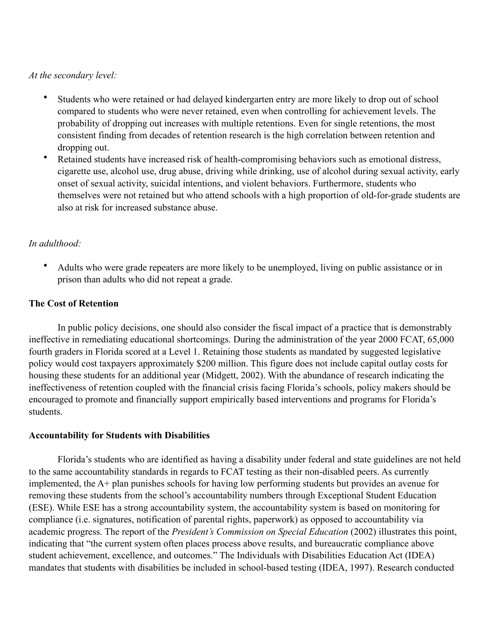#### *At the secondary level:*

- Students who were retained or had delayed kindergarten entry are more likely to drop out of school compared to students who were never retained, even when controlling for achievement levels. The probability of dropping out increases with multiple retentions. Even for single retentions, the most consistent finding from decades of retention research is the high correlation between retention and dropping out.
- Retained students have increased risk of health-compromising behaviors such as emotional distress, cigarette use, alcohol use, drug abuse, driving while drinking, use of alcohol during sexual activity, early onset of sexual activity, suicidal intentions, and violent behaviors. Furthermore, students who themselves were not retained but who attend schools with a high proportion of old-for-grade students are also at risk for increased substance abuse.

### *In adulthood:*

• Adults who were grade repeaters are more likely to be unemployed, living on public assistance or in prison than adults who did not repeat a grade.

### **The Cost of Retention**

In public policy decisions, one should also consider the fiscal impact of a practice that is demonstrably ineffective in remediating educational shortcomings. During the administration of the year 2000 FCAT, 65,000 fourth graders in Florida scored at a Level 1. Retaining those students as mandated by suggested legislative policy would cost taxpayers approximately \$200 million. This figure does not include capital outlay costs for housing these students for an additional year (Midgett, 2002). With the abundance of research indicating the ineffectiveness of retention coupled with the financial crisis facing Florida's schools, policy makers should be encouraged to promote and financially support empirically based interventions and programs for Florida's students.

### **Accountability for Students with Disabilities**

Florida's students who are identified as having a disability under federal and state guidelines are not held to the same accountability standards in regards to FCAT testing as their non-disabled peers. As currently implemented, the A+ plan punishes schools for having low performing students but provides an avenue for removing these students from the school's accountability numbers through Exceptional Student Education (ESE). While ESE has a strong accountability system, the accountability system is based on monitoring for compliance (i.e. signatures, notification of parental rights, paperwork) as opposed to accountability via academic progress. The report of the *President's Commission on Special Education* (2002) illustrates this point, indicating that "the current system often places process above results, and bureaucratic compliance above student achievement, excellence, and outcomes." The Individuals with Disabilities Education Act (IDEA) mandates that students with disabilities be included in school-based testing (IDEA, 1997). Research conducted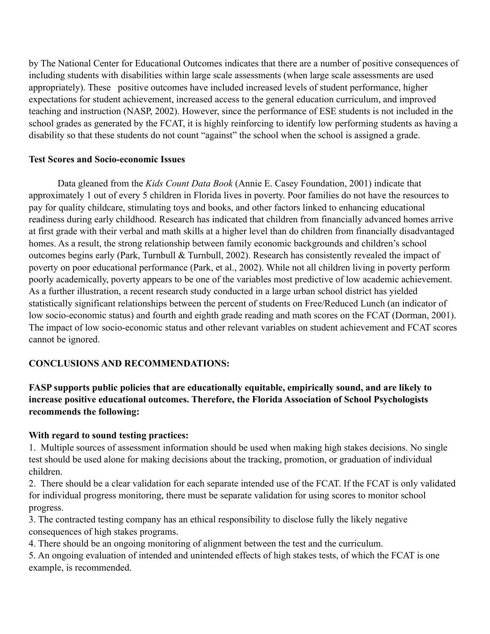by The National Center for Educational Outcomes indicates that there are a number of positive consequences of including students with disabilities within large scale assessments (when large scale assessments are used appropriately). These positive outcomes have included increased levels of student performance, higher expectations for student achievement, increased access to the general education curriculum, and improved teaching and instruction (NASP, 2002). However, since the performance of ESE students is not included in the school grades as generated by the FCAT, it is highly reinforcing to identify low performing students as having a disability so that these students do not count "against" the school when the school is assigned a grade.

### **Test Scores and Socio-economic Issues**

Data gleaned from the *Kids Count Data Book* (Annie E. Casey Foundation, 2001) indicate that approximately 1 out of every 5 children in Florida lives in poverty. Poor families do not have the resources to pay for quality childcare, stimulating toys and books, and other factors linked to enhancing educational readiness during early childhood. Research has indicated that children from financially advanced homes arrive at first grade with their verbal and math skills at a higher level than do children from financially disadvantaged homes. As a result, the strong relationship between family economic backgrounds and children's school outcomes begins early (Park, Turnbull & Turnbull, 2002). Research has consistently revealed the impact of poverty on poor educational performance (Park, et al., 2002). While not all children living in poverty perform poorly academically, poverty appears to be one of the variables most predictive of low academic achievement. As a further illustration, a recent research study conducted in a large urban school district has yielded statistically significant relationships between the percent of students on Free/Reduced Lunch (an indicator of low socio-economic status) and fourth and eighth grade reading and math scores on the FCAT (Dorman, 2001). The impact of low socio-economic status and other relevant variables on student achievement and FCAT scores cannot be ignored.

## **CONCLUSIONS AND RECOMMENDATIONS:**

## **FASP supports public policies that are educationally equitable, empirically sound, and are likely to increase positive educational outcomes. Therefore, the Florida Association of School Psychologists recommends the following:**

### **With regard to sound testing practices:**

1. Multiple sources of assessment information should be used when making high stakes decisions. No single test should be used alone for making decisions about the tracking, promotion, or graduation of individual children.

2. There should be a clear validation for each separate intended use of the FCAT. If the FCAT is only validated for individual progress monitoring, there must be separate validation for using scores to monitor school progress.

3. The contracted testing company has an ethical responsibility to disclose fully the likely negative consequences of high stakes programs.

4. There should be an ongoing monitoring of alignment between the test and the curriculum.

5. An ongoing evaluation of intended and unintended effects of high stakes tests, of which the FCAT is one example, is recommended.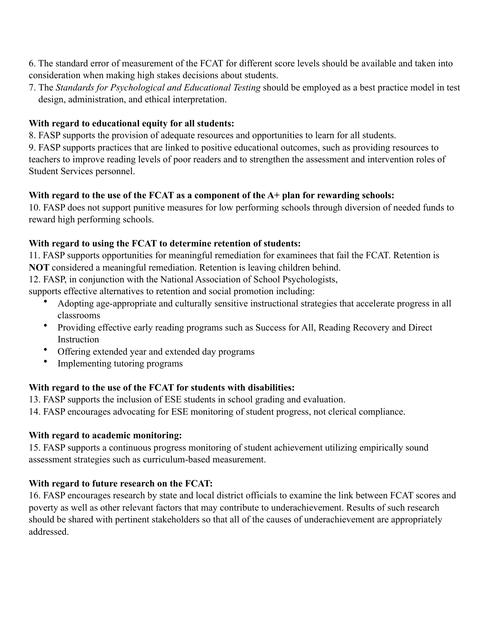6. The standard error of measurement of the FCAT for different score levels should be available and taken into consideration when making high stakes decisions about students.

7. The *Standards for Psychological and Educational Testing* should be employed as a best practice model in test design, administration, and ethical interpretation.

## **With regard to educational equity for all students:**

8. FASP supports the provision of adequate resources and opportunities to learn for all students.

9. FASP supports practices that are linked to positive educational outcomes, such as providing resources to teachers to improve reading levels of poor readers and to strengthen the assessment and intervention roles of Student Services personnel.

## **With regard to the use of the FCAT as a component of the A+ plan for rewarding schools:**

10. FASP does not support punitive measures for low performing schools through diversion of needed funds to reward high performing schools.

## **With regard to using the FCAT to determine retention of students:**

11. FASP supports opportunities for meaningful remediation for examinees that fail the FCAT. Retention is **NOT** considered a meaningful remediation. Retention is leaving children behind.

12. FASP, in conjunction with the National Association of School Psychologists,

supports effective alternatives to retention and social promotion including:

- Adopting age-appropriate and culturally sensitive instructional strategies that accelerate progress in all classrooms
- Providing effective early reading programs such as Success for All, Reading Recovery and Direct Instruction
- Offering extended year and extended day programs
- Implementing tutoring programs

# **With regard to the use of the FCAT for students with disabilities:**

13. FASP supports the inclusion of ESE students in school grading and evaluation.

14. FASP encourages advocating for ESE monitoring of student progress, not clerical compliance.

## **With regard to academic monitoring:**

15. FASP supports a continuous progress monitoring of student achievement utilizing empirically sound assessment strategies such as curriculum-based measurement.

## **With regard to future research on the FCAT:**

16. FASP encourages research by state and local district officials to examine the link between FCAT scores and poverty as well as other relevant factors that may contribute to underachievement. Results of such research should be shared with pertinent stakeholders so that all of the causes of underachievement are appropriately addressed.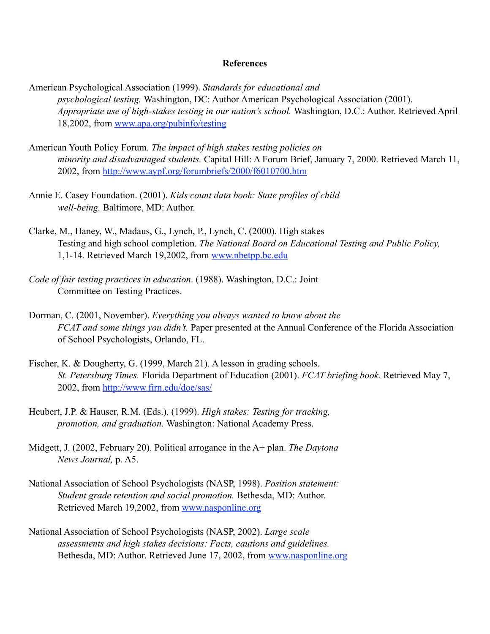#### **References**

American Psychological Association (1999). *Standards for educational and psychological testing.* Washington, DC: Author American Psychological Association (2001). *Appropriate use of high-stakes testing in our nation's school.* Washington, D.C.: Author. Retrieved April 18,2002, from [www.apa.org/pubinfo/testing](http://www.apa.org/pubinfo/testing)

- American Youth Policy Forum. *The impact of high stakes testing policies on minority and disadvantaged students.* Capital Hill: A Forum Brief, January 7, 2000. Retrieved March 11, 2002, from<http://www.aypf.org/forumbriefs/2000/f6010700.htm>
- Annie E. Casey Foundation. (2001). *Kids count data book: State profiles of child well-being.* Baltimore, MD: Author.
- Clarke, M., Haney, W., Madaus, G., Lynch, P., Lynch, C. (2000). High stakes Testing and high school completion. *The National Board on Educational Testing and Public Policy,* 1,1-14*.* Retrieved March 19,2002, from [www.nbetpp.bc.edu](http://www.nbetpp.bc.edu)
- *Code of fair testing practices in education*. (1988). Washington, D.C.: Joint Committee on Testing Practices.
- Dorman, C. (2001, November). *Everything you always wanted to know about the FCAT and some things you didn't.* Paper presented at the Annual Conference of the Florida Association of School Psychologists, Orlando, FL.
- Fischer, K. & Dougherty, G. (1999, March 21). A lesson in grading schools. *St. Petersburg Times.* Florida Department of Education (2001). *FCAT briefing book.* Retrieved May 7, 2002, from<http://www.firn.edu/doe/sas/>
- Heubert, J.P. & Hauser, R.M. (Eds.). (1999). *High stakes: Testing for tracking, promotion, and graduation.* Washington: National Academy Press.
- Midgett, J. (2002, February 20). Political arrogance in the A+ plan. *The Daytona News Journal,* p. A5.
- National Association of School Psychologists (NASP, 1998). *Position statement: Student grade retention and social promotion.* Bethesda, MD: Author. Retrieved March 19,2002, from [www.nasponline.org](http://www.nasponline.org)
- National Association of School Psychologists (NASP, 2002). *Large scale assessments and high stakes decisions: Facts, cautions and guidelines.* Bethesda, MD: Author. Retrieved June 17, 2002, from [www.nasponline.org](http://www.nasponline.org)